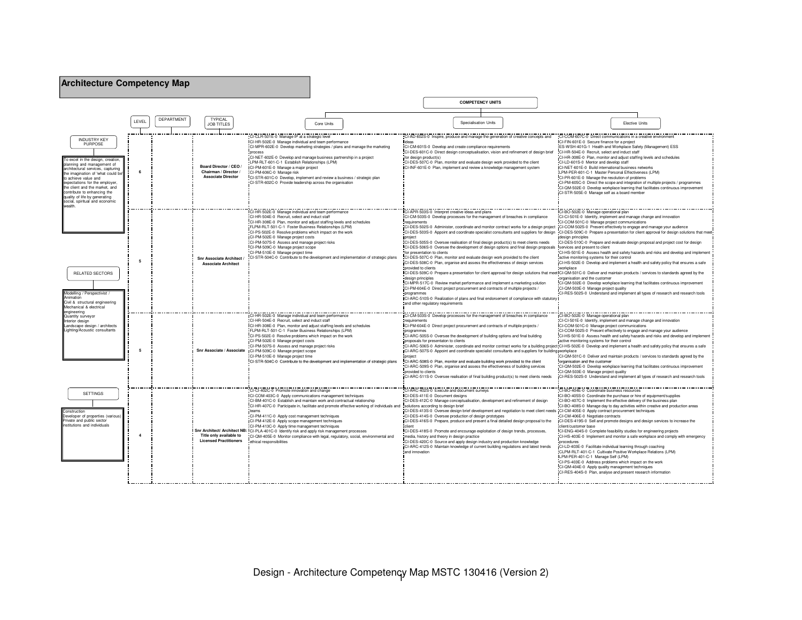| <b>Architecture Competency Map</b>                                                                                                                                                                                                                                                                                                                                  |                |            |                                                                              |                                                                                                                                                                                                                                                                                                                                                                                                                                                                                                                                                                                                                                                            |            |                                                                                   |                                                                                                                                                                                                                                                                                                                                                                     |                         |                                                                                                                                                                                                                                                                                                                                                                                                                                |                                                                                                                                                                                                                                                                                                                                                                                                                                                                                                                                                                                                                                                                                                                                                                                                                                                                                                                                                                                                                                                                  |                                                                                                                                                                                                                                                                                                                                                                          |  |
|---------------------------------------------------------------------------------------------------------------------------------------------------------------------------------------------------------------------------------------------------------------------------------------------------------------------------------------------------------------------|----------------|------------|------------------------------------------------------------------------------|------------------------------------------------------------------------------------------------------------------------------------------------------------------------------------------------------------------------------------------------------------------------------------------------------------------------------------------------------------------------------------------------------------------------------------------------------------------------------------------------------------------------------------------------------------------------------------------------------------------------------------------------------------|------------|-----------------------------------------------------------------------------------|---------------------------------------------------------------------------------------------------------------------------------------------------------------------------------------------------------------------------------------------------------------------------------------------------------------------------------------------------------------------|-------------------------|--------------------------------------------------------------------------------------------------------------------------------------------------------------------------------------------------------------------------------------------------------------------------------------------------------------------------------------------------------------------------------------------------------------------------------|------------------------------------------------------------------------------------------------------------------------------------------------------------------------------------------------------------------------------------------------------------------------------------------------------------------------------------------------------------------------------------------------------------------------------------------------------------------------------------------------------------------------------------------------------------------------------------------------------------------------------------------------------------------------------------------------------------------------------------------------------------------------------------------------------------------------------------------------------------------------------------------------------------------------------------------------------------------------------------------------------------------------------------------------------------------|--------------------------------------------------------------------------------------------------------------------------------------------------------------------------------------------------------------------------------------------------------------------------------------------------------------------------------------------------------------------------|--|
|                                                                                                                                                                                                                                                                                                                                                                     |                |            |                                                                              |                                                                                                                                                                                                                                                                                                                                                                                                                                                                                                                                                                                                                                                            |            |                                                                                   |                                                                                                                                                                                                                                                                                                                                                                     | <b>COMPETENCY UNITS</b> |                                                                                                                                                                                                                                                                                                                                                                                                                                |                                                                                                                                                                                                                                                                                                                                                                                                                                                                                                                                                                                                                                                                                                                                                                                                                                                                                                                                                                                                                                                                  |                                                                                                                                                                                                                                                                                                                                                                          |  |
|                                                                                                                                                                                                                                                                                                                                                                     | LEVEL          | DEPARTMENT | <b>TYPICAL</b><br><b>JOB TITLES</b>                                          |                                                                                                                                                                                                                                                                                                                                                                                                                                                                                                                                                                                                                                                            | Core Units |                                                                                   |                                                                                                                                                                                                                                                                                                                                                                     | Specialisation Units    |                                                                                                                                                                                                                                                                                                                                                                                                                                |                                                                                                                                                                                                                                                                                                                                                                                                                                                                                                                                                                                                                                                                                                                                                                                                                                                                                                                                                                                                                                                                  | Elective Units                                                                                                                                                                                                                                                                                                                                                           |  |
| <b>INDUSTRY KEY</b><br>PURPOSE<br>excel in the design, creation<br>planning and management of<br>trchitectural services, capturing<br>he imagination of 'what could be<br>to achieve value and<br>expectations for the employer,<br>he client and the market, and<br>contribute to enhancing the<br>quality of life by generating<br>social, spiritual and economic | 6              |            | Board Director / CEO /<br>Chairman / Director /<br><b>Associate Director</b> | CI-CLR-501E-0 Manage IP at a strategic level<br>CI-HR-502E-0 Manage individual and team performance<br>CI-MPR-602E-0 Develop marketing strategies / plans and manage the marketing<br>nrocess<br>CI-NET-602E-0 Develop and manage business partnership in a project<br>LPM-RLT-601-C-1 Establish Relationships (LPM)<br>CI-PM-601E-0 Manage a major project<br>CI-PM-606C-0 Manage risk<br>CI-STR-601C-0 Develop, implement and review a business / strategic plan<br>CI-STR-602C-0 Provide leadership across the organisation                                                                                                                             |            | ideas<br>for design product(s)                                                    | CI-CM-601S-0 Develop and create compliance requirements<br>CI-DES-507C-0 Plan, monitor and evaluate design work provided to the client<br>ICI-INF-601E-0 Plan, implement and review a knowledge management system                                                                                                                                                   |                         | CI-AD-602S-0 Inspire, produce and manage the generation of creative concepts and<br>CI-DES-601C-0 Direct design conceptualisation, vision and refinement of design brief                                                                                                                                                                                                                                                       | CI-FIN-601E-0 Secure finance for a project<br>CI-HR-504E-0 Recruit, select and induct staff<br>CI-LD-601S-0 Mentor and develop staff<br>ICI-NET-601E-0 Build international business networks<br>LPM-PER-601-C-1 Master Personal Effectiveness (LPM)<br>CI-PR-601E-0 Manage the resolution of problems<br>CI-STR-505E-0 Manage self as a board member                                                                                                                                                                                                                                                                                                                                                                                                                                                                                                                                                                                                                                                                                                             | CI-COM-607C-0 Direct communications in a creative environment<br>ES-WSH-401G-1 Health and Workplace Safety (Management) ESS<br>CI-HR-308E-0 Plan, monitor and adjust staffing levels and schedules<br>CI-PM-605C-0 Direct the scope and integration of multiple projects / programmes<br>CI-QM-502E-0 Develop workplace learning that facilitates continuous improvement |  |
| <b>RELATED SECTORS</b><br>Modelling / Perspectivist /<br>Animation<br>Civil & structural engineering<br>Mechanical & electrical                                                                                                                                                                                                                                     | 5              |            | Snr Associate Architect<br><b>Associate Architect</b>                        | CI-HR-502E-0 Manage individual and team performance<br>CI-HR-504E-0 Recruit, select and induct staff<br>CI-HR-308E-0 Plan, monitor and adjust staffing levels and schedules<br>FLPM-RLT-501-C-1 Foster Business Relationships (LPM)<br>CI-PS-502E-0 Resolve problems which impact on the work<br>CI-PM-502E-0 Manage project costs<br>CI-PM-507S-0 Assess and manage project risks<br>CI-PM-509C-0 Manage project scope<br>CI-PM-510E-0 Manage project time<br>CI-STR-504C-0 Contribute to the development and implementation of strategic plans                                                                                                           |            | requirements<br>project<br>provided to clients<br>design principles<br>programmes | CI-APR-503S-0 Interpret creative ideas and plans<br>for presentation to clients<br>CI-DES-507C-0 Plan, monitor and evaluate design work provided to the client<br>CI-DES-508C-0 Plan, organise and assess the effectiveness of design services<br>CI-PM-604E-0 Direct project procurement and contracts of multiple projects /<br>and other regulatory requirements |                         | CI-CM-503S-0 Develop processes for the management of breaches in compliance<br>CI-DES-505S-0 Oversee realisation of final design product(s) to meet clients needs<br>CI-MPR-517C-0 Review market performance and implement a marketing solution<br>CI-ARC-510S-0 Realization of plans and final endorsement of compliance with statutory                                                                                       | CI-BO-502E-0 Manage operational plan<br>CI-COM-501C-0 Manage project communications<br>CI-DES-502S-0 Administer, coordinate and monitor contract works for a design project CI-COM-502S-0 Present effectively to engage and manage your audience<br>CI-DES-503S-0 Appoint and coordinate specialist consultants and suppliers for design CI-DES-509C-0 Prepare a presentation for client approval for design solutions that meet<br>design principles<br>CI-DES-510C-0 Prepare and evaluate design proposal and project cost for design<br>CI-DES-506S-0 Oversee the development of design options and final design proposals services and present to client<br>active monitoring systems for their control<br>workplace<br>ICI-DES-509C-0 Prepare a presentation for client approval for design solutions that meet CI-QM-501C-0 Deliver and maintain products / services to standards agreed by the<br>organisation and the customer<br>CI-QM-502E-0 Develop workplace learning that facilitates continuous improvement<br>CI-QM-503E-0 Manage project quality | CI-CI-501E-0 Identify, implement and manage change and innovation<br>CI-HS-501E-0 Assess health and safety hazards and risks and develop and implement<br>CI-HS-502E-0 Develop and implement a health and safety policy that ensures a safe<br>CI-RES-502S-0 Understand and implement all types of research and research tools                                           |  |
| engineering<br>Quantity surveyor<br>Interior design<br>Landscape design / architects<br>ighting/Acoustic consultants                                                                                                                                                                                                                                                | 5              |            |                                                                              | CI-HR-502E-0 Manage individual and team performance<br>CI-HR-504E-0 Recruit, select and induct staff<br>CI-HR-308E-0 Plan, monitor and adjust staffing levels and schedules<br>FLPM-RLT-501-C-1 Foster Business Relationships (LPM)<br>CI-PS-502E-0 Resolve problems which impact on the work<br>CI-PM-502E-0 Manage project costs<br>CI-PM-507S-0 Assess and manage project risks<br>Snr Associate / Associate   CI-PM-509C-0 Manage project scope<br>CI-PM-510E-0 Manage project time<br>CI-STR-504C-0 Contribute to the development and implementation of strategic plans                                                                               |            | requirements<br>programmes<br>project<br>provided to clients                      | CI-PM-604E-0 Direct project procurement and contracts of multiple projects /<br>CI-ARC-505S-0 Oversee the development of building options and final building<br>proposals for presentaton to clients<br>CI-ARC-508S-0 Plan, monitor and evaluate building work provided to the client                                                                               |                         | CI-CM-503S-0 Develop processes for the management of breaches in compliance<br>CI-ARC-507S-0 Appoint and coordinate specialist consultants and suppliers for building workplace<br>CI-ARC-509S-0 Plan, organise and assess the effectiveness of building services<br>CI-ARC-511S-0 Oversee realisation of final building product(s) to meet clients needs                                                                      | CI-BO-502E-0 Manage operational plan<br>CI-COM-501C-0 Manage project communications<br>CI-HS-501E-0 Assess health and safety hazards and risks and develop and implement<br>active monitoring systems for their control<br>CI-ARC-506S-0 Administer, coordinate and monitor contract works for a building project CI-HS-502E-0 Develop and implement a health and safety policy that ensures a safe<br>organisation and the customer<br>CI-QM-503E-0 Manage project quality<br>CI-RES-502S-0 Understand and implement all types of research and research tools                                                                                                                                                                                                                                                                                                                                                                                                                                                                                                   | CI-CI-501E-0 Identify, implement and manage change and innovation<br>CI-COM-502S-0 Present effectively to engage and manage your audience<br>CI-QM-501C-0 Deliver and maintain products / services to standards agreed by the<br>CI-QM-502E-0 Develop workplace learning that facilitates continuous improvement                                                         |  |
| <b>SETTINGS</b><br>Construction<br>Developer of properties (various<br>Private and public sector<br>nstitutions and individuals                                                                                                                                                                                                                                     | $\overline{a}$ |            | Title only available to<br><b>Licensed Practitioners</b>                     | CI-CI-402C-0 Promote innovation and change<br>CI-COM-403C-0 Apply communications management techniques<br>CI-BM-401C-0 Establish and maintain work and contractual relationship<br>CI-HR-407C-0 Participate in, facilitate and promote effective working of individuals and<br>teams<br>CI-PM-411C-0 Apply cost management techniques<br>CI-PM-412E-0 Apply scope management techniques<br>CI-PM-413C-0 Apply time management techniques<br>Snr Architect/ Architect NB: ICI-PLA-401C-0 Identify risk and apply risk management processes<br>CI-QM-405E-0 Monitor compliance with legal, regulatory, social, environmental and<br>ethical responsibilities |            | client<br>and innovation                                                          | CI-ARC-402S-0 Execute and document survey.<br>CI-DES-411E-0 Document designs<br>solutions according to design brief<br>CI-DES-414S-0 Oversee production of design prototypes<br>media, history and theory in design practice<br>CI-DES-420C-0 Source and apply design industry and production knowledge                                                             |                         | CI-DES-412C-0 Manage conceptualisation, development and refinement of design<br>CI-DES-413S-0 Oversee design brief development and negotiation to meet client nee<br>CI-DES-416S-0 Prepare, produce and present a final detailed design proposal to the<br>CI-DES-418S-0 Promote and encourage exploitation of design trends, processes,<br>CI-ARC-412S-0 Maintain knowledge of current building regulations and latest trends | CI-BO-404E-0 Coordinate business resources<br>CI-BO-405S-0 Coordinate the purchase or hire of equipment/supplies<br>CI-BO-407C-0 Implement the effective delivery of the business plan<br>ds CI-CM-405E-0 Apply contract procurement techniques<br>CI-CM-406E-0 Negotiate contracts<br>CI-DES-419S-0 Sell and promote designs and design services to increase the<br>client/customer base<br>CI-ENG-404S-0 Complete feasibility studies for engineering projects<br>procedures<br>CI-LD-403E-0 Facilitate individual learning through coaching<br>LPM-PER-401-C-1 Manage Self (LPM)<br>CI-QM-404E-0 Apply quality management techniques                                                                                                                                                                                                                                                                                                                                                                                                                          | CI-BO-408S-0 Manage day to day activities within creative and production areas<br>CI-HS-403E-0 Implement and monitor a safe workplace and comply with emergency<br>CLPM-RLT-401-C-1 Cultivate Positive Workplace Relations (LPM)<br>CI-PS-403E-0 Address problems which impact on the work<br>CI-RES-404S-0 Plan, analyse and present research information               |  |

Design - Architecture Competency Map MSTC 130416 (Version 2) 1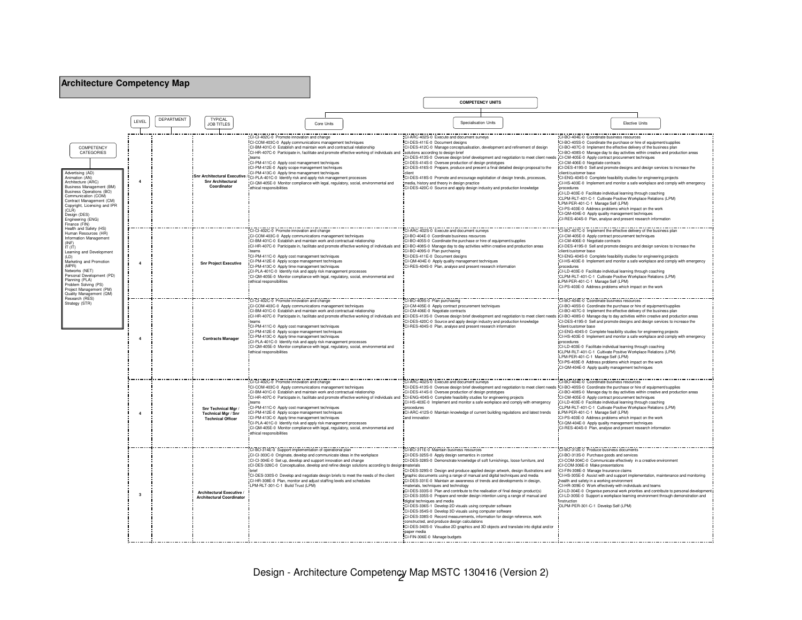| <b>Architecture Competency Map</b>                                                                                                                                                                                                                                                                                                                                                                                                                                                                                                                                                                                                                          |                         |                          |                                                                               |                                                                                                                                                                                                                                                                                                                                                                                                                                                                                                                                                                                                                                                   |                                                                                                                                                                                                                                                                                                                                                                                                                                                                                                                                                                                                                                                                                                                                                                                                                                                                                                                                                                                                                                                                      |                                                                                                                                                                                                                                                                                                                                                                                                                                                                                                                                                                                                                                                                                                                                                                                                                                                                                                                                               |  |  |  |
|-------------------------------------------------------------------------------------------------------------------------------------------------------------------------------------------------------------------------------------------------------------------------------------------------------------------------------------------------------------------------------------------------------------------------------------------------------------------------------------------------------------------------------------------------------------------------------------------------------------------------------------------------------------|-------------------------|--------------------------|-------------------------------------------------------------------------------|---------------------------------------------------------------------------------------------------------------------------------------------------------------------------------------------------------------------------------------------------------------------------------------------------------------------------------------------------------------------------------------------------------------------------------------------------------------------------------------------------------------------------------------------------------------------------------------------------------------------------------------------------|----------------------------------------------------------------------------------------------------------------------------------------------------------------------------------------------------------------------------------------------------------------------------------------------------------------------------------------------------------------------------------------------------------------------------------------------------------------------------------------------------------------------------------------------------------------------------------------------------------------------------------------------------------------------------------------------------------------------------------------------------------------------------------------------------------------------------------------------------------------------------------------------------------------------------------------------------------------------------------------------------------------------------------------------------------------------|-----------------------------------------------------------------------------------------------------------------------------------------------------------------------------------------------------------------------------------------------------------------------------------------------------------------------------------------------------------------------------------------------------------------------------------------------------------------------------------------------------------------------------------------------------------------------------------------------------------------------------------------------------------------------------------------------------------------------------------------------------------------------------------------------------------------------------------------------------------------------------------------------------------------------------------------------|--|--|--|
|                                                                                                                                                                                                                                                                                                                                                                                                                                                                                                                                                                                                                                                             |                         |                          |                                                                               |                                                                                                                                                                                                                                                                                                                                                                                                                                                                                                                                                                                                                                                   | <b>COMPETENCY UNITS</b>                                                                                                                                                                                                                                                                                                                                                                                                                                                                                                                                                                                                                                                                                                                                                                                                                                                                                                                                                                                                                                              |                                                                                                                                                                                                                                                                                                                                                                                                                                                                                                                                                                                                                                                                                                                                                                                                                                                                                                                                               |  |  |  |
|                                                                                                                                                                                                                                                                                                                                                                                                                                                                                                                                                                                                                                                             | LEVEL                   | <b>DEPARTMENT</b>        | TYPICAL<br><b>JOB TITLES</b>                                                  | Core Units                                                                                                                                                                                                                                                                                                                                                                                                                                                                                                                                                                                                                                        | Specialisation Units                                                                                                                                                                                                                                                                                                                                                                                                                                                                                                                                                                                                                                                                                                                                                                                                                                                                                                                                                                                                                                                 | <b>Flective Units</b>                                                                                                                                                                                                                                                                                                                                                                                                                                                                                                                                                                                                                                                                                                                                                                                                                                                                                                                         |  |  |  |
| COMPETENCY<br>CATEGORIES<br>Advertising (AD)<br>Animation (AN)<br>Architecture (ARC)<br>Business Management (BM)<br>Business Operations (BO)<br>Communication (COM)<br>Contract Management (CM)<br>Copyright, Licensing and IPR<br>(CLR)<br>Design (DES)<br>Engineering (ENG)<br>Finance (FIN)<br>Health and Safety (HS)<br>Human Resources (HR)<br>Information Management<br>(INF)<br>IT $(IT)$<br>Learning and Development<br>(1D)<br>Marketing and Promotion<br>(MPR)<br>Networks (NET)<br>Personal Development (PD)<br>Planning (PLA)<br>Problem Solving (PS)<br>Project Management (PM)<br>Quality Management (QM)<br>Research (RES)<br>Strategy (STR) | $\overline{\mathbf{4}}$ |                          | <b>Snr Architectural</b><br>Coordinator                                       | CI-CI-402C-0 Promote innovation and change<br>CI-COM-403C-0 Apply communications management techniques<br>CI-BM-401C-0 Establish and maintain work and contractual relationship<br>CI-HR-407C-0 Participate in, facilitate and promote effective working of individuals and<br>CI-PM-411C-0 Apply cost management techniques<br>CI-PM-412E-0 Apply scope management techniques<br>CI-PM-413C-0 Apply time management techniques<br>Shr Architectural Executive / CI-PLA-401C-0 Identify risk and apply risk management processes<br>CI-QM-405E-0 Monitor compliance with legal, regulatory, social, environmental and<br>ethical responsibilities | -402S-0 Execute and document surveys<br>CI-DES-411E-0 Document designs<br>CI-DES-412C-0 Manage conceptualisation, development and refinement of design<br>solutions according to design brief<br>CI-DES-413S-0 Oversee design brief development and negotiation to meet client needs CI-CM-405E-0 Apply contract procurement techniques<br>CI-DES-414S-0 Oversee production of design prototypes<br>CI-DES-416S-0 Prepare, produce and present a final detailed design proposal to the<br>CI-DES-418S-0 Promote and encourage exploitation of design trends, processes,<br>media, history and theory in design practice<br>CI-DES-420C-0 Source and apply design industry and production knowledge                                                                                                                                                                                                                                                                                                                                                                   | CI-BO-404E-0 Coordinate business resources<br>CI-BO-405S-0 Coordinate the purchase or hire of equipment/supplies<br>CI-BO-407C-0 Implement the effective delivery of the business plan<br>CI-BO-408S-0 Manage day to day activities within creative and production areas<br>CI-CM-406E-0 Negotiate contracts<br>ICI-DES-419S-0 Sell and promote designs and design services to increase the<br>client/customer base<br>CI-ENG-404S-0 Complete feasibility studies for engineering projects<br>CI-HS-403E-0 Implement and monitor a safe workplace and comply with emergency<br>procedures<br>CI-LD-403E-0 Facilitate individual learning through coaching<br>CLPM-RLT-401-C-1 Cultivate Positive Workplace Relations (LPM)<br>LPM-PER-401-C-1 Manage Self (LPM)<br>CI-PS-403E-0 Address problems which impact on the work<br>CI-QM-404E-0 Apply quality management techniques<br>CI-RES-404S-0 Plan, analyse and present research information |  |  |  |
|                                                                                                                                                                                                                                                                                                                                                                                                                                                                                                                                                                                                                                                             | $\overline{4}$          |                          | <b>Snr Project Executive</b>                                                  | CI-CI-402C-0 Promote innovation and change<br>CI-COM-403C-0 Apply communications management techniques<br>CI-BM-401C-0 Establish and maintain work and contractual relationship<br>CI-HR-407C-0 Participate in, facilitate and promote effective working of individuals and<br>CI-PM-411C-0 Apply cost management techniques<br>CI-PM-412E-0 Apply scope management techniques<br>CI-PM-413C-0 Apply time management techniques<br>CI-PLA-401C-0 Identify risk and apply risk management processes<br>CI-QM-405E-0 Monitor compliance with legal, regulatory, social, environmental and<br>ethical responsibilities                               | -ARC-402S-0 Execute and document surveys<br>CI-BO-404E-0 Coordinate business resources<br>CI-BO-405S-0 Coordinate the purchase or hire of equipment/supplies<br>CI-BO-408S-0 Manage day to day activities within creative and production areas<br>CI-BO-409S-0 Plan purchasing<br>CI-DES-411E-0 Document designs<br>CI-QM-404E-0 Apply quality management techniques<br>CI-RES-404S-0 Plan, analyse and present research information                                                                                                                                                                                                                                                                                                                                                                                                                                                                                                                                                                                                                                 | CI-BO-407C-0 Implement the effective delivery of the business plan<br>CI-CM-405E-0 Apply contract procurement techniques<br>CI-CM-406E-0 Negotiate contracts<br>CI-DES-419S-0 Sell and promote designs and design services to increase the<br>client/customer base<br>CI-ENG-404S-0 Complete feasibility studies for engineering projects<br>CI-HS-403E-0 Implement and monitor a safe workplace and comply with emergency<br>procedures<br>CI-LD-403E-0 Facilitate individual learning through coaching<br>CLPM-RLT-401-C-1 Cultivate Positive Workplace Relations (LPM)<br>LPM-PER-401-C-1 Manage Self (LPM)<br>CI-PS-403E-0 Address problems which impact on the work                                                                                                                                                                                                                                                                      |  |  |  |
|                                                                                                                                                                                                                                                                                                                                                                                                                                                                                                                                                                                                                                                             | $\overline{4}$          | <b>Contracts Manager</b> |                                                                               | CI-CI-402C-0 Promote innovation and change<br>CI-COM-403C-0 Apply communications management techniques<br>CI-BM-401C-0 Establish and maintain work and contractual relationship<br>CI-PM-411C-0 Apply cost management techniques<br>CI-PM-412E-0 Apply scope management techniques<br>CI-PM-413C-0 Apply time management techniques<br>CI-PLA-401C-0 Identify risk and apply risk management processes<br>CI-QM-405E-0 Monitor compliance with legal, regulatory, social, environmental and<br>ethical responsibilities                                                                                                                           | 1-BO-409S-0 Plan purchasing<br>CI-CM-405E-0 Apply contract procurement techniques<br>CI-CM-406E-0 Negotiate contracts<br>ICI-HR-407C-0 Participate in, facilitate and promote effective working of individuals and ICI-DES-413S-0 Oversee design brief development and negotiation to meet client needs ICI-BO-408S-0 Manage day to day activities with<br>CI-DES-420C-0 Source and apply design industry and production knowledge<br>CI-RES-404S-0 Plan, analyse and present research information                                                                                                                                                                                                                                                                                                                                                                                                                                                                                                                                                                   | CI-BO-404E-0 Coordinate business resources<br>CI-BO-405S-0 Coordinate the purchase or hire of equipment/supplies<br>CI-BO-407C-0 Implement the effective delivery of the business plan<br>CI-DES-419S-0 Sell and promote designs and design services to increase the<br>client/customer base<br>CI-ENG-404S-0 Complete feasibility studies for engineering projects<br>CI-HS-403E-0 Implement and monitor a safe workplace and comply with emergency<br>procedures<br>CI-LD-403E-0 Facilitate individual learning through coaching<br>CLPM-RLT-401-C-1 Cultivate Positive Workplace Relations (LPM)<br>LPM-PER-401-C-1 Manage Self (LPM)<br>CI-PS-403E-0 Address problems which impact on the work<br>CI-QM-404E-0 Apply quality management techniques                                                                                                                                                                                        |  |  |  |
|                                                                                                                                                                                                                                                                                                                                                                                                                                                                                                                                                                                                                                                             | $\overline{a}$          |                          | Snr Technical Mgr /<br><b>Technical Mor / Snr</b><br><b>Technical Officer</b> | CI-CI-402C-0 Promote innovation and change<br>CI-COM-403C-0 Apply communications management techniques<br>CI-BM-401C-0 Establish and maintain work and contractual relationship<br>CI-HR-407C-0 Participate in, facilitate and promote effective working of individuals and<br>CI-PM-411C-0 Apply cost management techniques<br>CI-PM-412E-0 Apply scope management techniques<br>CI-PM-413C-0 Apply time management techniques<br>CI-PLA-401C-0 Identify risk and apply risk management processes<br>CI-QM-405E-0 Monitor compliance with legal, regulatory, social, environmental and<br>ethical responsibilities                               | I-ARC-402S-0 Execute and document surveys<br>CI-DES-413S-0 Oversee design brief development and negotiation to meet client needs CI-BO-405S-0 Coordinate the purchase or hire of equipment/supplies<br>CI-DES-414S-0 Oversee production of design prototypes<br>CI-ENG-404S-0 Complete feasibility studies for engineering projects<br>CI-HS-403E-0 Implement and monitor a safe workplace and comply with emergency<br>procedures<br>ICI-ARC-412S-0 Maintain knowledge of current building regulations and latest trends<br>and innovation                                                                                                                                                                                                                                                                                                                                                                                                                                                                                                                          | CI-BO-404E-0 Coordinate business resources<br>CI-BO-408S-0 Manage day to day activities within creative and production areas<br>CI-CM-405E-0 Apply contract procurement techniques<br>CI-LD-403E-0 Facilitate individual learning through coaching<br>CLPM-RLT-401-C-1 Cultivate Positive Workplace Relations (LPM)<br>LPM-PER-401-C-1 Manage Self (LPM)<br>CI-PS-403E-0 Address problems which impact on the work<br>CI-QM-404E-0 Apply quality management techniques<br>CI-RES-404S-0 Plan, analyse and present research information                                                                                                                                                                                                                                                                                                                                                                                                        |  |  |  |
|                                                                                                                                                                                                                                                                                                                                                                                                                                                                                                                                                                                                                                                             | $\mathbf{3}$            |                          | Architectural Executive<br><b>Architectural Coordinator</b>                   | CI-BO-314E-0 Support implementation of operational plan<br>CI-CI-303C-0 Originate, develop and communicate ideas in the workplace<br>CI-CI-304E-0 Set up, develop and support innovation and change<br>CI-DES-326C-0 Conceptualise, develop and refine design solutions according to design materials<br>CI-DES-330S-0 Develop and negotiate design briefs to meet the needs of the client<br>CI-HR-308E-0 Plan, monitor and adjust staffing levels and schedules<br>LPM-RLT-301-C-1 Build Trust (LPM)                                                                                                                                            | CI-BO-311E-0 Maintain business resources<br>CI-DES-325S-0 Apply design semantics in context<br>CI-DES-328S-0 Demonstrate knowledge of soft furnishings, loose furniture, and<br>CI-DES-329S-0 Design and produce applied design artwork, design illustrations and<br>graphic documents using a range of manual and digital techniques and media<br>CI-DES-331E-0 Maintain an awareness of trends and developments in design,<br>naterials, techniques and technology<br>CI-DES-333S-0 Plan and contribute to the realisation of final design product(s)<br>CI-DES-335S-0 Prepare and render design intention using a range of manual and<br>digital techniques and media<br>CI-DES-336S-1 Develop 2D visuals using computer software<br>CI-DES-354S-0 Develop 3D visuals using computer software<br>CI-DES-338S-0 Record measurements, information for design reference, work<br>constructed, and produce design calculations<br>CI-DES-340S-0 Visualise 2D graphics and 3D objects and translate into digital and/or<br>paper media<br>CI-FIN-306E-0 Manage budgets | CI-BO-312E-0 Produce business documents<br>CI-BO-313S-0 Purchase goods and services<br>CI-COM-304C-0 Communicate effectively in a creative environment<br>CI-COM-306E-0 Make presentations<br>CI-FIN-308E-0 Manage Insurance claims<br>CI-HS-305E-0 Assist with and support implementation, maintenance and monitoring<br>health and safety in a working environment<br>CI-HR-309E-0 Work effectively with individuals and teams<br>CI-LD-304E-0 Organise personal work priorities and contribute to personal development<br>CI-LD-305E-0 Support a workplace learning environment through demonstration and<br>instruction<br>DLPM-PER-301-C-1 Develop Self (LPM)                                                                                                                                                                                                                                                                            |  |  |  |